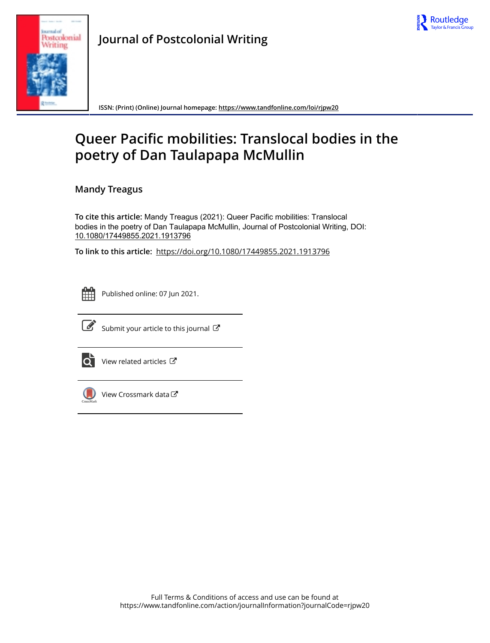



**ISSN: (Print) (Online) Journal homepage:<https://www.tandfonline.com/loi/rjpw20>**

# **Queer Pacific mobilities: Translocal bodies in the poetry of Dan Taulapapa McMullin**

**Mandy Treagus**

**To cite this article:** Mandy Treagus (2021): Queer Pacific mobilities: Translocal bodies in the poetry of Dan Taulapapa McMullin, Journal of Postcolonial Writing, DOI: [10.1080/17449855.2021.1913796](https://www.tandfonline.com/action/showCitFormats?doi=10.1080/17449855.2021.1913796)

**To link to this article:** <https://doi.org/10.1080/17449855.2021.1913796>



Published online: 07 Jun 2021.



 $\overrightarrow{S}$  [Submit your article to this journal](https://www.tandfonline.com/action/authorSubmission?journalCode=rjpw20&show=instructions)  $\overrightarrow{S}$ 



[View related articles](https://www.tandfonline.com/doi/mlt/10.1080/17449855.2021.1913796)  $\mathbb{Z}$ 



[View Crossmark data](http://crossmark.crossref.org/dialog/?doi=10.1080/17449855.2021.1913796&domain=pdf&date_stamp=2021-06-07)<sup>C</sup>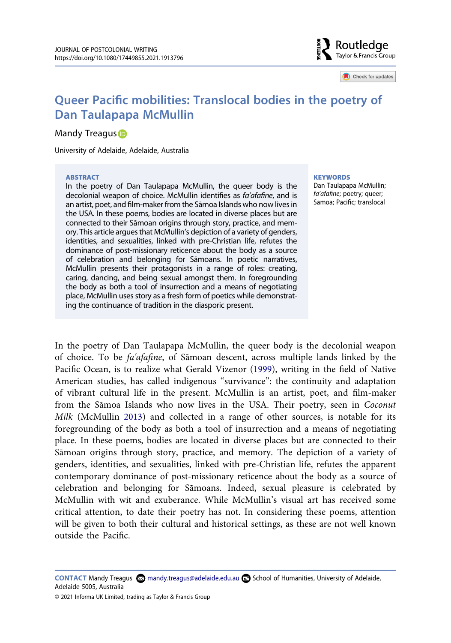

Check for updates

# **Queer Pacific mobilities: Translocal bodies in the poetry of Dan Taulapapa McMullin**

#### Mandy Treagus iD

University of Adelaide, Adelaide, Australia

#### **ABSTRACT**

In the poetry of Dan Taulapapa McMullin, the queer body is the decolonial weapon of choice. McMullin identifies as *fa'afafine*, and is an artist, poet, and film-maker from the Sāmoa Islands who now lives in the USA. In these poems, bodies are located in diverse places but are connected to their Sāmoan origins through story, practice, and memory. This article argues that McMullin's depiction of a variety of genders, identities, and sexualities, linked with pre-Christian life, refutes the dominance of post-missionary reticence about the body as a source of celebration and belonging for Sāmoans. In poetic narratives, McMullin presents their protagonists in a range of roles: creating, caring, dancing, and being sexual amongst them. In foregrounding the body as both a tool of insurrection and a means of negotiating place, McMullin uses story as a fresh form of poetics while demonstrating the continuance of tradition in the diasporic present.

#### **KEYWORDS**

Dan Taulapapa McMullin; *fa'afafine*; poetry; queer; Sāmoa; Pacific; translocal

<span id="page-1-1"></span><span id="page-1-0"></span>In the poetry of Dan Taulapapa McMullin, the queer body is the decolonial weapon of choice. To be *fa'afafine*, of Sāmoan descent, across multiple lands linked by the Pacific Ocean, is to realize what Gerald Vizenor [\(1999](#page-14-0)), writing in the field of Native American studies, has called indigenous "survivance": the continuity and adaptation of vibrant cultural life in the present. McMullin is an artist, poet, and film-maker from the Sāmoa Islands who now lives in the USA. Their poetry, seen in *Coconut Milk* (McMullin [2013\)](#page-13-0) and collected in a range of other sources, is notable for its foregrounding of the body as both a tool of insurrection and a means of negotiating place. In these poems, bodies are located in diverse places but are connected to their Sāmoan origins through story, practice, and memory. The depiction of a variety of genders, identities, and sexualities, linked with pre-Christian life, refutes the apparent contemporary dominance of post-missionary reticence about the body as a source of celebration and belonging for Sāmoans. Indeed, sexual pleasure is celebrated by McMullin with wit and exuberance. While McMullin's visual art has received some critical attention, to date their poetry has not. In considering these poems, attention will be given to both their cultural and historical settings, as these are not well known outside the Pacific.

#### CONTACT Mandy Treagus **<sup>2</sup>** mandy.treagus@adelaide.edu.au ■ School of Humanities, University of Adelaide, Adelaide 5005, Australia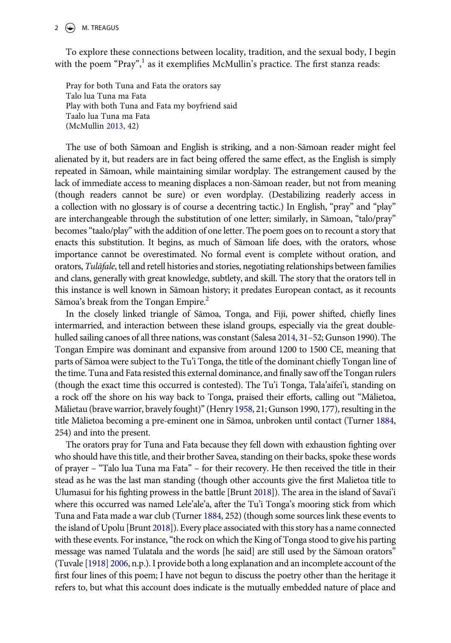#### 2  $\left(\rightarrow\right)$  M. TREAGUS

To explore these connections between locality, tradition, and the sexual body, I begin with the poem "Pray",<sup>1</sup> as it exemplifies McMullin's practice. The first stanza reads:

Pray for both Tuna and Fata the orators say Talo lua Tuna ma Fata Play with both Tuna and Fata my boyfriend said Taalo lua Tuna ma Fata (McMullin [2013,](#page-13-0) 42)

The use of both Sāmoan and English is striking, and a non-Sāmoan reader might feel alienated by it, but readers are in fact being offered the same effect, as the English is simply repeated in Sāmoan, while maintaining similar wordplay. The estrangement caused by the lack of immediate access to meaning displaces a non-Sāmoan reader, but not from meaning (though readers cannot be sure) or even wordplay. (Destabilizing readerly access in a collection with no glossary is of course a decentring tactic.) In English, "pray" and "play" are interchangeable through the substitution of one letter; similarly, in Sāmoan, "talo/pray" becomes "taalo/play" with the addition of one letter. The poem goes on to recount a story that enacts this substitution. It begins, as much of Sāmoan life does, with the orators, whose importance cannot be overestimated. No formal event is complete without oration, and orators, *Tulāfale*, tell and retell histories and stories, negotiating relationships between families and clans, generally with great knowledge, subtlety, and skill. The story that the orators tell in this instance is well known in Sāmoan history; it predates European contact, as it recounts Sāmoa's break from the Tongan Empire.<sup>2</sup>

<span id="page-2-2"></span>In the closely linked triangle of Sāmoa, Tonga, and Fiji, power shifted, chiefly lines intermarried, and interaction between these island groups, especially via the great doublehulled sailing canoes of all three nations, was constant (Salesa [2014](#page-14-1), 31–52; Gunson 1990). The Tongan Empire was dominant and expansive from around 1200 to 1500 CE, meaning that parts of Sāmoa were subject to the Tu'i Tonga, the title of the dominant chiefly Tongan line of the time. Tuna and Fata resisted this external dominance, and finally saw off the Tongan rulers (though the exact time this occurred is contested). The Tu'i Tonga, Tala'aifei'i, standing on a rock off the shore on his way back to Tonga, praised their efforts, calling out "Mālietoa, Mālietau (brave warrior, bravely fought)" (Henry [1958](#page-13-1), 21; Gunson 1990, 177), resulting in the title Mālietoa becoming a pre-eminent one in Sāmoa, unbroken until contact (Turner [1884,](#page-14-2) 254) and into the present.

<span id="page-2-4"></span><span id="page-2-3"></span><span id="page-2-1"></span><span id="page-2-0"></span>The orators pray for Tuna and Fata because they fell down with exhaustion fighting over who should have this title, and their brother Savea, standing on their backs, spoke these words of prayer – "Talo lua Tuna ma Fata" – for their recovery. He then received the title in their stead as he was the last man standing (though other accounts give the first Malietoa title to Ulumasui for his fighting prowess in the battle [Brunt [2018\]](#page-13-2)). The area in the island of Savai'i where this occurred was named Lele'ale'a, after the Tu'i Tonga's mooring stick from which Tuna and Fata made a war club (Turner [1884](#page-14-2), 252) (though some sources link these events to the island of Upolu [Brunt [2018](#page-13-2)]). Every place associated with this story has a name connected with these events. For instance, "the rock on which the King of Tonga stood to give his parting message was named Tulatala and the words [he said] are still used by the Sāmoan orators" (Tuvale [\[1918\] 2006](#page-14-3), n.p.). I provide both a long explanation and an incomplete account of the first four lines of this poem; I have not begun to discuss the poetry other than the heritage it refers to, but what this account does indicate is the mutually embedded nature of place and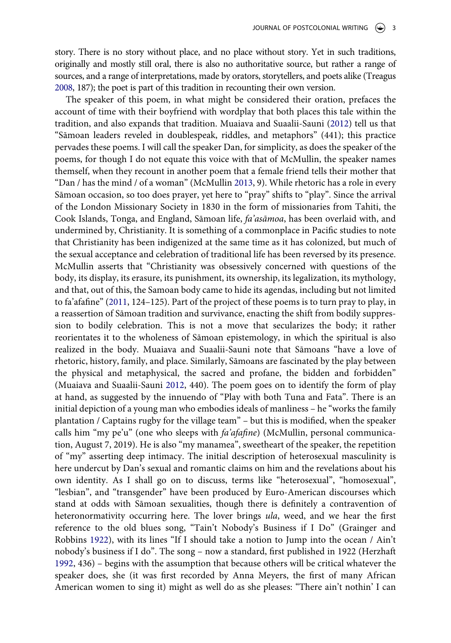<span id="page-3-4"></span>story. There is no story without place, and no place without story. Yet in such traditions, originally and mostly still oral, there is also no authoritative source, but rather a range of sources, and a range of interpretations, made by orators, storytellers, and poets alike (Treagus [2008](#page-14-4), 187); the poet is part of this tradition in recounting their own version.

<span id="page-3-3"></span><span id="page-3-2"></span><span id="page-3-1"></span><span id="page-3-0"></span>The speaker of this poem, in what might be considered their oration, prefaces the account of time with their boyfriend with wordplay that both places this tale within the tradition, and also expands that tradition. Muaiava and Suaalii-Sauni [\(2012](#page-13-3)) tell us that "Sāmoan leaders reveled in doublespeak, riddles, and metaphors" (441); this practice pervades these poems. I will call the speaker Dan, for simplicity, as does the speaker of the poems, for though I do not equate this voice with that of McMullin, the speaker names themself, when they recount in another poem that a female friend tells their mother that "Dan / has the mind / of a woman" (McMullin [2013,](#page-13-0) 9). While rhetoric has a role in every Sāmoan occasion, so too does prayer, yet here to "pray" shifts to "play". Since the arrival of the London Missionary Society in 1830 in the form of missionaries from Tahiti, the Cook Islands, Tonga, and England, Sāmoan life, *fa'asāmoa*, has been overlaid with, and undermined by, Christianity. It is something of a commonplace in Pacific studies to note that Christianity has been indigenized at the same time as it has colonized, but much of the sexual acceptance and celebration of traditional life has been reversed by its presence. McMullin asserts that "Christianity was obsessively concerned with questions of the body, its display, its erasure, its punishment, its ownership, its legalization, its mythology, and that, out of this, the Samoan body came to hide its agendas, including but not limited to fa'afafine" [\(2011](#page-13-4), 124–125). Part of the project of these poems is to turn pray to play, in a reassertion of Sāmoan tradition and survivance, enacting the shift from bodily suppression to bodily celebration. This is not a move that secularizes the body; it rather reorientates it to the wholeness of Sāmoan epistemology, in which the spiritual is also realized in the body. Muaiava and Suaalii-Sauni note that Sāmoans "have a love of rhetoric, history, family, and place. Similarly, Sāmoans are fascinated by the play between the physical and metaphysical, the sacred and profane, the bidden and forbidden" (Muaiava and Suaalii-Sauni [2012,](#page-13-3) 440). The poem goes on to identify the form of play at hand, as suggested by the innuendo of "Play with both Tuna and Fata". There is an initial depiction of a young man who embodies ideals of manliness – he "works the family plantation / Captains rugby for the village team" – but this is modified, when the speaker calls him "my pe'u" (one who sleeps with *fa'afafine*) (McMullin, personal communication, August 7, 2019). He is also "my manamea", sweetheart of the speaker, the repetition of "my" asserting deep intimacy. The initial description of heterosexual masculinity is here undercut by Dan's sexual and romantic claims on him and the revelations about his own identity. As I shall go on to discuss, terms like "heterosexual", "homosexual", "lesbian", and "transgender" have been produced by Euro-American discourses which stand at odds with Sāmoan sexualities, though there is definitely a contravention of heteronormativity occurring here. The lover brings *ula*, weed, and we hear the first reference to the old blues song, "Tain't Nobody's Business if I Do" (Grainger and Robbins [1922\)](#page-13-5), with its lines "If I should take a notion to Jump into the ocean / Ain't nobody's business if I do". The song – now a standard, first published in 1922 (Herzhaft [1992](#page-13-6), 436) – begins with the assumption that because others will be critical whatever the speaker does, she (it was first recorded by Anna Meyers, the first of many African American women to sing it) might as well do as she pleases: "There ain't nothin' I can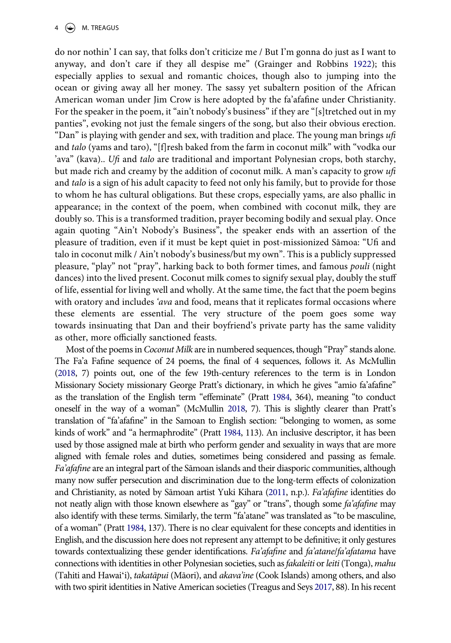do nor nothin' I can say, that folks don't criticize me / But I'm gonna do just as I want to anyway, and don't care if they all despise me" (Grainger and Robbins [1922](#page-13-5)); this especially applies to sexual and romantic choices, though also to jumping into the ocean or giving away all her money. The sassy yet subaltern position of the African American woman under Jim Crow is here adopted by the fa'afafine under Christianity. For the speaker in the poem, it "ain't nobody's business" if they are "[s]tretched out in my panties", evoking not just the female singers of the song, but also their obvious erection. "Dan" is playing with gender and sex, with tradition and place. The young man brings *ufi*  and *talo* (yams and taro), "[f]resh baked from the farm in coconut milk" with "vodka our 'ava" (kava).. *Ufi* and *talo* are traditional and important Polynesian crops, both starchy, but made rich and creamy by the addition of coconut milk. A man's capacity to grow *ufi*  and *talo* is a sign of his adult capacity to feed not only his family, but to provide for those to whom he has cultural obligations. But these crops, especially yams, are also phallic in appearance; in the context of the poem, when combined with coconut milk, they are doubly so. This is a transformed tradition, prayer becoming bodily and sexual play. Once again quoting "Ain't Nobody's Business", the speaker ends with an assertion of the pleasure of tradition, even if it must be kept quiet in post-missionized Sāmoa: "Ufi and talo in coconut milk / Ain't nobody's business/but my own". This is a publicly suppressed pleasure, "play" not "pray", harking back to both former times, and famous *pouli* (night dances) into the lived present. Coconut milk comes to signify sexual play, doubly the stuff of life, essential for living well and wholly. At the same time, the fact that the poem begins with oratory and includes *'ava* and food, means that it replicates formal occasions where these elements are essential. The very structure of the poem goes some way towards insinuating that Dan and their boyfriend's private party has the same validity as other, more officially sanctioned feasts.

<span id="page-4-3"></span><span id="page-4-2"></span><span id="page-4-1"></span><span id="page-4-0"></span>Most of the poems in *Coconut Milk* are in numbered sequences, though "Pray" stands alone. The Fa'a Fafine sequence of 24 poems, the final of 4 sequences, follows it. As McMullin [\(2018](#page-13-7), 7) points out, one of the few 19th-century references to the term is in London Missionary Society missionary George Pratt's dictionary, in which he gives "amio fa'afafine" as the translation of the English term "effeminate" (Pratt [1984,](#page-14-5) 364), meaning "to conduct oneself in the way of a woman" (McMullin [2018](#page-13-7), 7). This is slightly clearer than Pratt's translation of "fa'afafine" in the Samoan to English section: "belonging to women, as some kinds of work" and "a hermaphrodite" (Pratt [1984,](#page-14-5) 113). An inclusive descriptor, it has been used by those assigned male at birth who perform gender and sexuality in ways that are more aligned with female roles and duties, sometimes being considered and passing as female. *Fa'afafine* are an integral part of the Sāmoan islands and their diasporic communities, although many now suffer persecution and discrimination due to the long-term effects of colonization and Christianity, as noted by Sāmoan artist Yuki Kihara [\(2011,](#page-13-8) n.p.). *Fa'afafine* identities do not neatly align with those known elsewhere as "gay" or "trans", though some *fa'afafine* may also identify with these terms. Similarly, the term "fa'atane" was translated as "to be masculine, of a woman" (Pratt [1984](#page-14-5), 137). There is no clear equivalent for these concepts and identities in English, and the discussion here does not represent any attempt to be definitive; it only gestures towards contextualizing these gender identifications. *Fa'afafine* and *fa'atane*/*fa'afatama* have connections with identities in other Polynesian societies, such as *fakaleiti* or *leiti* (Tonga), *mahu*  (Tahiti and Hawaiʻi), *takatāpui* (Māori), and *akava'ine* (Cook Islands) among others, and also with two spirit identities in Native American societies (Treagus and Seys [2017](#page-14-6), 88). In his recent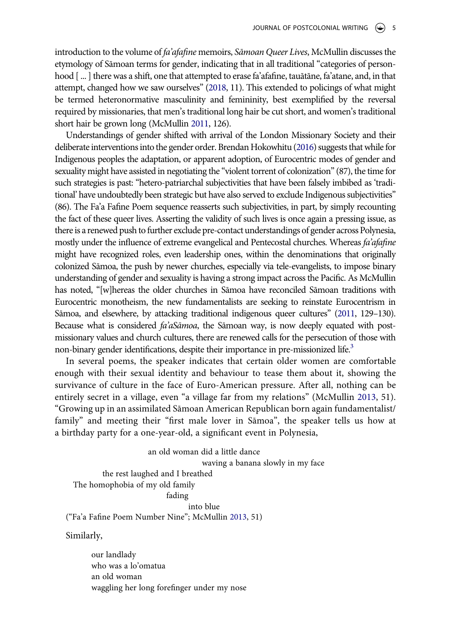introduction to the volume of *fa'afafine* memoirs, *Sāmoan Queer Lives*, McMullin discusses the etymology of Sāmoan terms for gender, indicating that in all traditional "categories of personhood [ ... ] there was a shift, one that attempted to erase fa'afafine, tauātāne, fa'atane, and, in that attempt, changed how we saw ourselves" [\(2018](#page-13-7), 11). This extended to policings of what might be termed heteronormative masculinity and femininity, best exemplified by the reversal required by missionaries, that men's traditional long hair be cut short, and women's traditional short hair be grown long (McMullin [2011](#page-13-4), 126).

<span id="page-5-0"></span>Understandings of gender shifted with arrival of the London Missionary Society and their deliberate interventions into the gender order. Brendan Hokowhitu [\(2016\)](#page-13-9) suggests that while for Indigenous peoples the adaptation, or apparent adoption, of Eurocentric modes of gender and sexuality might have assisted in negotiating the "violent torrent of colonization" (87), the time for such strategies is past: "hetero-patriarchal subjectivities that have been falsely imbibed as 'traditional' have undoubtedly been strategic but have also served to exclude Indigenous subjectivities" (86). The Fa'a Fafine Poem sequence reasserts such subjectivities, in part, by simply recounting the fact of these queer lives. Asserting the validity of such lives is once again a pressing issue, as there is a renewed push to further exclude pre-contact understandings of gender across Polynesia, mostly under the influence of extreme evangelical and Pentecostal churches. Whereas *fa'afafine*  might have recognized roles, even leadership ones, within the denominations that originally colonized Sāmoa, the push by newer churches, especially via tele-evangelists, to impose binary understanding of gender and sexuality is having a strong impact across the Pacific. As McMullin has noted, "[w]hereas the older churches in Sāmoa have reconciled Sāmoan traditions with Eurocentric monotheism, the new fundamentalists are seeking to reinstate Eurocentrism in Sāmoa, and elsewhere, by attacking traditional indigenous queer cultures" [\(2011](#page-13-4), 129–130). Because what is considered *fa'aSāmoa*, the Sāmoan way, is now deeply equated with postmissionary values and church cultures, there are renewed calls for the persecution of those with non-binary gender identifications, despite their importance in pre-missionized life.<sup>3</sup>

In several poems, the speaker indicates that certain older women are comfortable enough with their sexual identity and behaviour to tease them about it, showing the survivance of culture in the face of Euro-American pressure. After all, nothing can be entirely secret in a village, even "a village far from my relations" (McMullin [2013](#page-13-0), 51). "Growing up in an assimilated Sāmoan American Republican born again fundamentalist/ family" and meeting their "first male lover in Sāmoa", the speaker tells us how at a birthday party for a one-year-old, a significant event in Polynesia,

an old woman did a little dance waving a banana slowly in my face the rest laughed and I breathed The homophobia of my old family fading into blue ("Fa'a Fafine Poem Number Nine"; McMullin [2013,](#page-13-0) 51) Similarly,

our landlady who was a lo'omatua an old woman waggling her long forefinger under my nose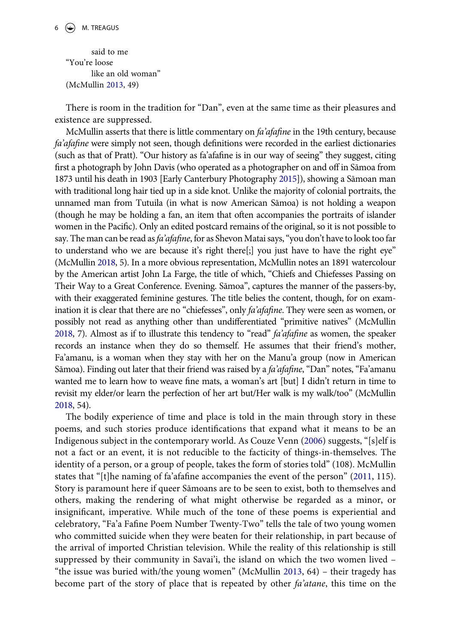said to me "You're loose like an old woman" (McMullin [2013,](#page-13-0) 49)

There is room in the tradition for "Dan", even at the same time as their pleasures and existence are suppressed.

<span id="page-6-0"></span>McMullin asserts that there is little commentary on *fa'afafine* in the 19th century, because *fa'afafine* were simply not seen, though definitions were recorded in the earliest dictionaries (such as that of Pratt). "Our history as fa'afafine is in our way of seeing" they suggest, citing first a photograph by John Davis (who operated as a photographer on and off in Sāmoa from 1873 until his death in 1903 [Early Canterbury Photography [2015\]](#page-13-10)), showing a Sāmoan man with traditional long hair tied up in a side knot. Unlike the majority of colonial portraits, the unnamed man from Tutuila (in what is now American Sāmoa) is not holding a weapon (though he may be holding a fan, an item that often accompanies the portraits of islander women in the Pacific). Only an edited postcard remains of the original, so it is not possible to say. The man can be read as *fa'afafine*, for as Shevon Matai says, "you don't have to look too far to understand who we are because it's right there[;] you just have to have the right eye" (McMullin [2018](#page-13-7), 5). In a more obvious representation, McMullin notes an 1891 watercolour by the American artist John La Farge, the title of which, "Chiefs and Chiefesses Passing on Their Way to a Great Conference. Evening. Sāmoa", captures the manner of the passers-by, with their exaggerated feminine gestures. The title belies the content, though, for on examination it is clear that there are no "chiefesses", only *fa'afafine*. They were seen as women, or possibly not read as anything other than undifferentiated "primitive natives" (McMullin [2018](#page-13-7), 7). Almost as if to illustrate this tendency to "read" *fa'afafine* as women, the speaker records an instance when they do so themself. He assumes that their friend's mother, Fa'amanu, is a woman when they stay with her on the Manu'a group (now in American Sāmoa). Finding out later that their friend was raised by a *fa'afafine*, "Dan" notes, "Fa'amanu wanted me to learn how to weave fine mats, a woman's art [but] I didn't return in time to revisit my elder/or learn the perfection of her art but/Her walk is my walk/too" (McMullin [2018](#page-13-7), 54).

<span id="page-6-1"></span>The bodily experience of time and place is told in the main through story in these poems, and such stories produce identifications that expand what it means to be an Indigenous subject in the contemporary world. As Couze Venn ([2006](#page-14-7)) suggests, "[s]elf is not a fact or an event, it is not reducible to the facticity of things-in-themselves. The identity of a person, or a group of people, takes the form of stories told" (108). McMullin states that "[t]he naming of fa'afafine accompanies the event of the person" ([2011,](#page-13-4) 115). Story is paramount here if queer Sāmoans are to be seen to exist, both to themselves and others, making the rendering of what might otherwise be regarded as a minor, or insignificant, imperative. While much of the tone of these poems is experiential and celebratory, "Fa'a Fafine Poem Number Twenty-Two" tells the tale of two young women who committed suicide when they were beaten for their relationship, in part because of the arrival of imported Christian television. While the reality of this relationship is still suppressed by their community in Savai'i, the island on which the two women lived – "the issue was buried with/the young women" (McMullin [2013](#page-13-0), 64) – their tragedy has become part of the story of place that is repeated by other *fa'atane*, this time on the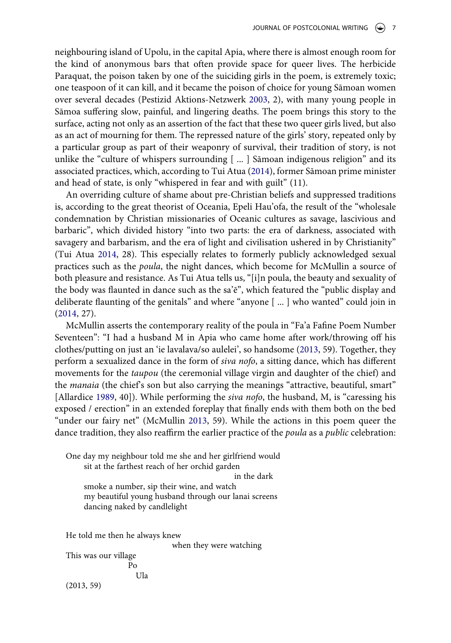<span id="page-7-1"></span>neighbouring island of Upolu, in the capital Apia, where there is almost enough room for the kind of anonymous bars that often provide space for queer lives. The herbicide Paraquat, the poison taken by one of the suiciding girls in the poem, is extremely toxic; one teaspoon of it can kill, and it became the poison of choice for young Sāmoan women over several decades (Pestizid Aktions-Netzwerk [2003,](#page-14-8) 2), with many young people in Sāmoa suffering slow, painful, and lingering deaths. The poem brings this story to the surface, acting not only as an assertion of the fact that these two queer girls lived, but also as an act of mourning for them. The repressed nature of the girls' story, repeated only by a particular group as part of their weaponry of survival, their tradition of story, is not unlike the "culture of whispers surrounding [ ... ] Sāmoan indigenous religion" and its associated practices, which, according to Tui Atua ([2014\)](#page-14-9), former Sāmoan prime minister and head of state, is only "whispered in fear and with guilt" (11).

An overriding culture of shame about pre-Christian beliefs and suppressed traditions is, according to the great theorist of Oceania, Epeli Hau'ofa, the result of the "wholesale condemnation by Christian missionaries of Oceanic cultures as savage, lascivious and barbaric", which divided history "into two parts: the era of darkness, associated with savagery and barbarism, and the era of light and civilisation ushered in by Christianity" (Tui Atua [2014](#page-14-9), 28). This especially relates to formerly publicly acknowledged sexual practices such as the *poula*, the night dances, which become for McMullin a source of both pleasure and resistance. As Tui Atua tells us, "[i]n poula, the beauty and sexuality of the body was flaunted in dance such as the sa'ē", which featured the "public display and deliberate flaunting of the genitals" and where "anyone [ ... ] who wanted" could join in ([2014,](#page-14-9) 27).

<span id="page-7-2"></span><span id="page-7-0"></span>McMullin asserts the contemporary reality of the poula in "Fa'a Fafine Poem Number Seventeen": "I had a husband M in Apia who came home after work/throwing off his clothes/putting on just an 'ie lavalava/so aulelei', so handsome [\(2013](#page-13-0), 59). Together, they perform a sexualized dance in the form of *siva nofo*, a sitting dance, which has different movements for the *taupou* (the ceremonial village virgin and daughter of the chief) and the *manaia* (the chief's son but also carrying the meanings "attractive, beautiful, smart" [Allardice [1989](#page-13-11), 40]). While performing the *siva nofo*, the husband, M, is "caressing his exposed / erection" in an extended foreplay that finally ends with them both on the bed "under our fairy net" (McMullin [2013](#page-13-0), 59). While the actions in this poem queer the dance tradition, they also reaffirm the earlier practice of the *poula* as a *public* celebration:

One day my neighbour told me she and her girlfriend would sit at the farthest reach of her orchid garden

in the dark

smoke a number, sip their wine, and watch my beautiful young husband through our lanai screens dancing naked by candlelight

He told me then he always knew

when they were watching This was our village Po Ula (2013, 59)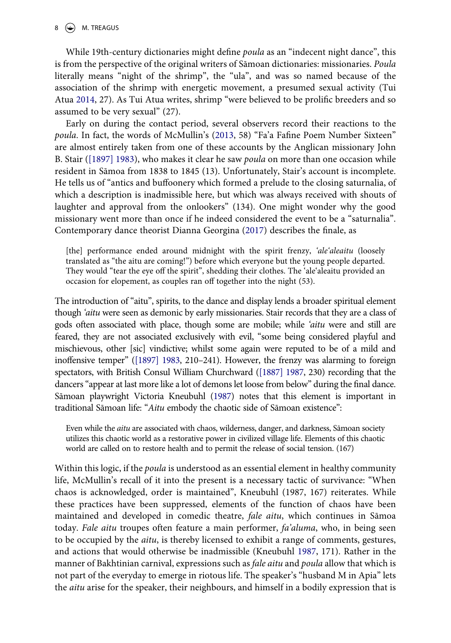While 19th-century dictionaries might define *poula* as an "indecent night dance", this is from the perspective of the original writers of Sāmoan dictionaries: missionaries. *Poula*  literally means "night of the shrimp", the "ula", and was so named because of the association of the shrimp with energetic movement, a presumed sexual activity (Tui Atua [2014,](#page-14-9) 27). As Tui Atua writes, shrimp "were believed to be prolific breeders and so assumed to be very sexual" (27).

Early on during the contact period, several observers record their reactions to the *poula*. In fact, the words of McMullin's [\(2013,](#page-13-0) 58) "Fa'a Fafine Poem Number Sixteen" are almost entirely taken from one of these accounts by the Anglican missionary John B. Stair ([\[1897\] 1983\)](#page-14-10), who makes it clear he saw *poula* on more than one occasion while resident in Sāmoa from 1838 to 1845 (13). Unfortunately, Stair's account is incomplete. He tells us of "antics and buffoonery which formed a prelude to the closing saturnalia, of which a description is inadmissible here, but which was always received with shouts of laughter and approval from the onlookers" (134). One might wonder why the good missionary went more than once if he indeed considered the event to be a "saturnalia". Contemporary dance theorist Dianna Georgina [\(2017\)](#page-13-12) describes the finale, as

<span id="page-8-1"></span>[the] performance ended around midnight with the spirit frenzy, *'ale'aleaitu* (loosely translated as "the aitu are coming!") before which everyone but the young people departed. They would "tear the eye off the spirit", shedding their clothes. The 'ale'aleaitu provided an occasion for elopement, as couples ran off together into the night (53).

<span id="page-8-3"></span>The introduction of "aitu", spirits, to the dance and display lends a broader spiritual element though *'aitu* were seen as demonic by early missionaries. Stair records that they are a class of gods often associated with place, though some are mobile; while *'aitu* were and still are feared, they are not associated exclusively with evil, "some being considered playful and mischievous, other [sic] vindictive; whilst some again were reputed to be of a mild and inoffensive temper" ([\[1897\] 1983,](#page-14-10) 210–241). However, the frenzy was alarming to foreign spectators, with British Consul William Churchward [\(\[1887\] 1987](#page-13-13), 230) recording that the dancers "appear at last more like a lot of demons let loose from below" during the final dance. Sāmoan playwright Victoria Kneubuhl ([1987\)](#page-13-14) notes that this element is important in traditional Sāmoan life: "*Aitu* embody the chaotic side of Sāmoan existence":

<span id="page-8-0"></span>Even while the *aitu* are associated with chaos, wilderness, danger, and darkness, Sāmoan society utilizes this chaotic world as a restorative power in civilized village life. Elements of this chaotic world are called on to restore health and to permit the release of social tension. (167)

<span id="page-8-2"></span>Within this logic, if the *poula* is understood as an essential element in healthy community life, McMullin's recall of it into the present is a necessary tactic of survivance: "When chaos is acknowledged, order is maintained", Kneubuhl (1987, 167) reiterates. While these practices have been suppressed, elements of the function of chaos have been maintained and developed in comedic theatre, *fale aitu*, which continues in Sāmoa today. *Fale aitu* troupes often feature a main performer, *fa'aluma*, who, in being seen to be occupied by the *aitu*, is thereby licensed to exhibit a range of comments, gestures, and actions that would otherwise be inadmissible (Kneubuhl [1987,](#page-13-14) 171). Rather in the manner of Bakhtinian carnival, expressions such as *fale aitu* and *poula* allow that which is not part of the everyday to emerge in riotous life. The speaker's "husband M in Apia" lets the *aitu* arise for the speaker, their neighbours, and himself in a bodily expression that is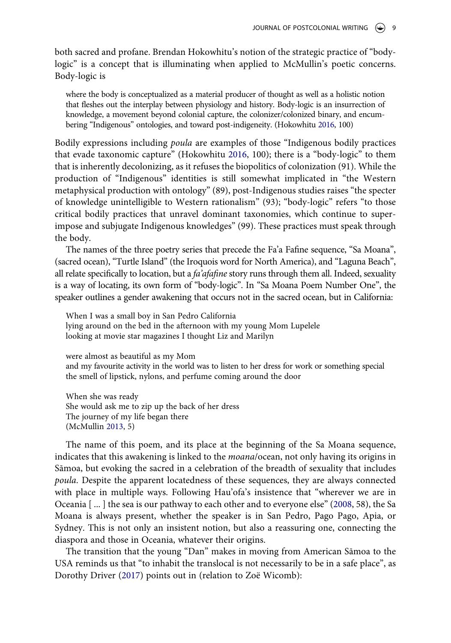both sacred and profane. Brendan Hokowhitu's notion of the strategic practice of "bodylogic" is a concept that is illuminating when applied to McMullin's poetic concerns. Body-logic is

where the body is conceptualized as a material producer of thought as well as a holistic notion that fleshes out the interplay between physiology and history. Body-logic is an insurrection of knowledge, a movement beyond colonial capture, the colonizer/colonized binary, and encumbering "Indigenous" ontologies, and toward post-indigeneity. (Hokowhitu [2016,](#page-13-9) 100)

Bodily expressions including *poula* are examples of those "Indigenous bodily practices that evade taxonomic capture" (Hokowhitu [2016](#page-13-9), 100); there is a "body-logic" to them that is inherently decolonizing, as it refuses the biopolitics of colonization (91). While the production of "Indigenous" identities is still somewhat implicated in "the Western metaphysical production with ontology" (89), post-Indigenous studies raises "the specter of knowledge unintelligible to Western rationalism" (93); "body-logic" refers "to those critical bodily practices that unravel dominant taxonomies, which continue to superimpose and subjugate Indigenous knowledges" (99). These practices must speak through the body.

The names of the three poetry series that precede the Fa'a Fafine sequence, "Sa Moana", (sacred ocean), "Turtle Island" (the Iroquois word for North America), and "Laguna Beach", all relate specifically to location, but a *fa'afafine* story runs through them all. Indeed, sexuality is a way of locating, its own form of "body-logic". In "Sa Moana Poem Number One", the speaker outlines a gender awakening that occurs not in the sacred ocean, but in California:

When I was a small boy in San Pedro California lying around on the bed in the afternoon with my young Mom Lupelele looking at movie star magazines I thought Liz and Marilyn

were almost as beautiful as my Mom and my favourite activity in the world was to listen to her dress for work or something special the smell of lipstick, nylons, and perfume coming around the door

When she was ready She would ask me to zip up the back of her dress The journey of my life began there (McMullin [2013,](#page-13-0) 5)

The name of this poem, and its place at the beginning of the Sa Moana sequence, indicates that this awakening is linked to the *moana*/ocean, not only having its origins in Sāmoa, but evoking the sacred in a celebration of the breadth of sexuality that includes *poula*. Despite the apparent locatedness of these sequences, they are always connected with place in multiple ways. Following Hau'ofa's insistence that "wherever we are in Oceania [ ... ] the sea is our pathway to each other and to everyone else" ([2008,](#page-13-15) 58), the Sa Moana is always present, whether the speaker is in San Pedro, Pago Pago, Apia, or Sydney. This is not only an insistent notion, but also a reassuring one, connecting the diaspora and those in Oceania, whatever their origins.

<span id="page-9-1"></span><span id="page-9-0"></span>The transition that the young "Dan" makes in moving from American Sāmoa to the USA reminds us that "to inhabit the translocal is not necessarily to be in a safe place", as Dorothy Driver [\(2017](#page-13-16)) points out in (relation to Zoë Wicomb):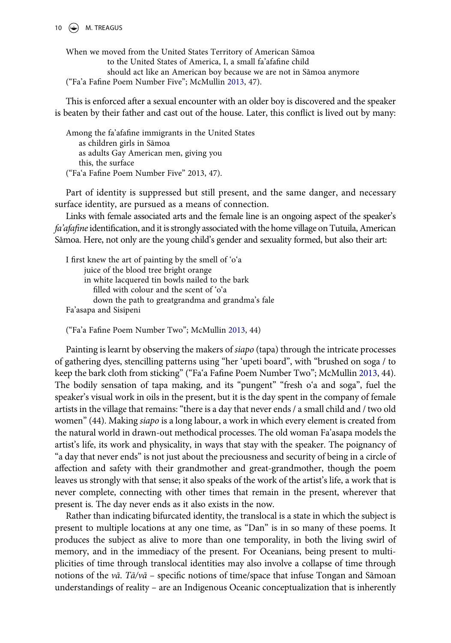10  $\left(\frac{1}{2}\right)$  M. TREAGUS

When we moved from the United States Territory of American Sāmoa to the United States of America, I, a small fa'afafine child should act like an American boy because we are not in Sāmoa anymore ("Fa'a Fafine Poem Number Five"; McMullin [2013](#page-13-0), 47).

This is enforced after a sexual encounter with an older boy is discovered and the speaker is beaten by their father and cast out of the house. Later, this conflict is lived out by many:

Among the fa'afafine immigrants in the United States as children girls in Sāmoa as adults Gay American men, giving you this, the surface ("Fa'a Fafine Poem Number Five" 2013, 47).

Part of identity is suppressed but still present, and the same danger, and necessary surface identity, are pursued as a means of connection.

Links with female associated arts and the female line is an ongoing aspect of the speaker's *fa'afafine* identification, and it is strongly associated with the home village on Tutuila, American Sāmoa. Here, not only are the young child's gender and sexuality formed, but also their art:

I first knew the art of painting by the smell of 'o'a juice of the blood tree bright orange in white lacquered tin bowls nailed to the bark filled with colour and the scent of 'o'a down the path to greatgrandma and grandma's fale Fa'asapa and Sisipeni

("Fa'a Fafine Poem Number Two"; McMullin [2013](#page-13-0), 44)

Painting is learnt by observing the makers of *siapo* (tapa) through the intricate processes of gathering dyes, stencilling patterns using "her 'upeti board", with "brushed on soga / to keep the bark cloth from sticking" ("Fa'a Fafine Poem Number Two"; McMullin [2013,](#page-13-0) 44). The bodily sensation of tapa making, and its "pungent" "fresh o'a and soga", fuel the speaker's visual work in oils in the present, but it is the day spent in the company of female artists in the village that remains: "there is a day that never ends / a small child and / two old women" (44). Making *siapo* is a long labour, a work in which every element is created from the natural world in drawn-out methodical processes. The old woman Fa'asapa models the artist's life, its work and physicality, in ways that stay with the speaker. The poignancy of "a day that never ends" is not just about the preciousness and security of being in a circle of affection and safety with their grandmother and great-grandmother, though the poem leaves us strongly with that sense; it also speaks of the work of the artist's life, a work that is never complete, connecting with other times that remain in the present, wherever that present is. The day never ends as it also exists in the now.

Rather than indicating bifurcated identity, the translocal is a state in which the subject is present to multiple locations at any one time, as "Dan" is in so many of these poems. It produces the subject as alive to more than one temporality, in both the living swirl of memory, and in the immediacy of the present. For Oceanians, being present to multiplicities of time through translocal identities may also involve a collapse of time through notions of the *vā*. *Tā/vā* – specific notions of time/space that infuse Tongan and Sāmoan understandings of reality – are an Indigenous Oceanic conceptualization that is inherently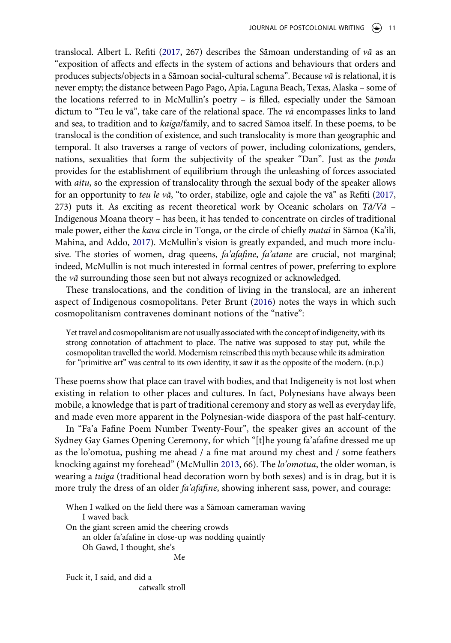translocal. Albert L. Refiti [\(2017](#page-14-11), 267) describes the Sāmoan understanding of *vā* as an "exposition of affects and effects in the system of actions and behaviours that orders and produces subjects/objects in a Sāmoan social-cultural schema". Because *vā* is relational, it is never empty; the distance between Pago Pago, Apia, Laguna Beach, Texas, Alaska – some of the locations referred to in McMullin's poetry – is filled, especially under the Sāmoan dictum to "Teu le vā", take care of the relational space. The *vā* encompasses links to land and sea, to tradition and to *kaiga*/family, and to sacred Sāmoa itself. In these poems, to be translocal is the condition of existence, and such translocality is more than geographic and temporal. It also traverses a range of vectors of power, including colonizations, genders, nations, sexualities that form the subjectivity of the speaker "Dan". Just as the *poula*  provides for the establishment of equilibrium through the unleashing of forces associated with *aitu*, so the expression of translocality through the sexual body of the speaker allows for an opportunity to *teu le vā*, "to order, stabilize, ogle and cajole the vā" as Refiti [\(2017,](#page-14-11) 273) puts it. As exciting as recent theoretical work by Oceanic scholars on *Tā/Vā* – Indigenous Moana theory – has been, it has tended to concentrate on circles of traditional male power, either the *kava* circle in Tonga, or the circle of chiefly *matai* in Sāmoa (Ka'ili, Mahina, and Addo, [2017\)](#page-13-17). McMullin's vision is greatly expanded, and much more inclusive. The stories of women, drag queens, *fa'afafine*, *fa'atane* are crucial, not marginal; indeed, McMullin is not much interested in formal centres of power, preferring to explore the *vā* surrounding those seen but not always recognized or acknowledged.

<span id="page-11-2"></span><span id="page-11-1"></span><span id="page-11-0"></span>These translocations, and the condition of living in the translocal, are an inherent aspect of Indigenous cosmopolitans. Peter Brunt ([2016\)](#page-13-18) notes the ways in which such cosmopolitanism contravenes dominant notions of the "native":

Yet travel and cosmopolitanism are not usually associated with the concept of indigeneity, with its strong connotation of attachment to place. The native was supposed to stay put, while the cosmopolitan travelled the world. Modernism reinscribed this myth because while its admiration for "primitive art" was central to its own identity, it saw it as the opposite of the modern. (n.p.)

These poems show that place can travel with bodies, and that Indigeneity is not lost when existing in relation to other places and cultures. In fact, Polynesians have always been mobile, a knowledge that is part of traditional ceremony and story as well as everyday life, and made even more apparent in the Polynesian-wide diaspora of the past half-century.

In "Fa'a Fafine Poem Number Twenty-Four", the speaker gives an account of the Sydney Gay Games Opening Ceremony, for which "[t]he young fa'afafine dressed me up as the lo'omotua, pushing me ahead / a fine mat around my chest and / some feathers knocking against my forehead" (McMullin [2013,](#page-13-0) 66). The *lo'omotua*, the older woman, is wearing a *tuiga* (traditional head decoration worn by both sexes) and is in drag, but it is more truly the dress of an older *fa'afafine*, showing inherent sass, power, and courage:

When I walked on the field there was a Sāmoan cameraman waving I waved back On the giant screen amid the cheering crowds an older fa'afafine in close-up was nodding quaintly Oh Gawd, I thought, she's Me

Fuck it, I said, and did a catwalk stroll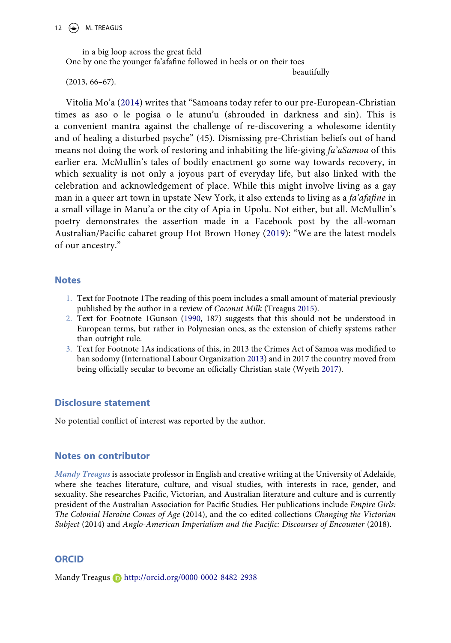12  $\left(\frac{1}{2}\right)$  M. TREAGUS

in a big loop across the great field One by one the younger fa'afafine followed in heels or on their toes beautifully

(2013, 66–67).

<span id="page-12-5"></span>Vitolia Mo'a ([2014\)](#page-13-19) writes that "Sāmoans today refer to our pre-European-Christian times as aso o le pogisā o le atunu'u (shrouded in darkness and sin). This is a convenient mantra against the challenge of re-discovering a wholesome identity and of healing a disturbed psyche" (45). Dismissing pre-Christian beliefs out of hand means not doing the work of restoring and inhabiting the life-giving *fa'aSamoa* of this earlier era. McMullin's tales of bodily enactment go some way towards recovery, in which sexuality is not only a joyous part of everyday life, but also linked with the celebration and acknowledgement of place. While this might involve living as a gay man in a queer art town in upstate New York, it also extends to living as a *fa'afafine* in a small village in Manu'a or the city of Apia in Upolu. Not either, but all. McMullin's poetry demonstrates the assertion made in a Facebook post by the all-woman Australian/Pacific cabaret group Hot Brown Honey [\(2019\)](#page-13-20): "We are the latest models of our ancestry."

#### <span id="page-12-3"></span>**Notes**

- <span id="page-12-6"></span><span id="page-12-0"></span>1. Text for Footnote 1The reading of this poem includes a small amount of material previously published by the author in a review of *Coconut Milk* (Treagus [2015\)](#page-14-12).
- <span id="page-12-1"></span>2. Text for Footnote 1Gunson [\(1990,](#page-14-13) 187) suggests that this should not be understood in European terms, but rather in Polynesian ones, as the extension of chiefly systems rather than outright rule.
- <span id="page-12-7"></span><span id="page-12-4"></span><span id="page-12-2"></span>3. Text for Footnote 1As indications of this, in 2013 the Crimes Act of Samoa was modified to ban sodomy (International Labour Organization [2013\)](#page-13-21) and in 2017 the country moved from being officially secular to become an officially Christian state (Wyeth [2017](#page-14-14)).

# **Disclosure statement**

No potential conflict of interest was reported by the author.

## **Notes on contributor**

*Mandy Treagus* is associate professor in English and creative writing at the University of Adelaide, where she teaches literature, culture, and visual studies, with interests in race, gender, and sexuality. She researches Pacific, Victorian, and Australian literature and culture and is currently president of the Australian Association for Pacific Studies. Her publications include *Empire Girls: The Colonial Heroine Comes of Age* (2014), and the co-edited collections *Changing the Victorian Subject* (2014) and *Anglo-American Imperialism and the Pacific: Discourses of Encounter* (2018).

#### **ORCID**

Mandy Treagus **b** http://orcid.org/0000-0002-8482-2938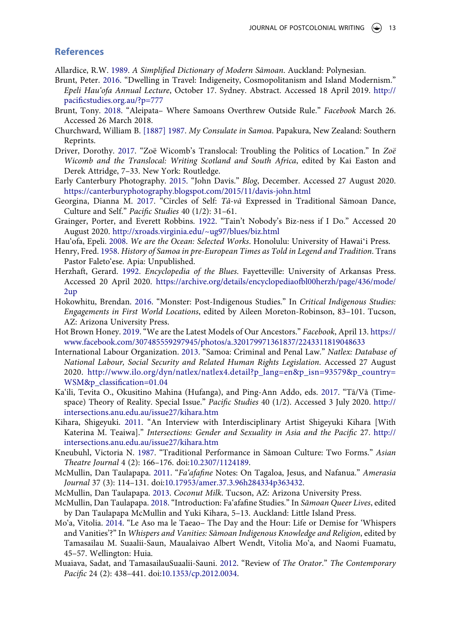## **References**

<span id="page-13-11"></span>Allardice, R.W. [1989.](#page-7-0) *A Simplified Dictionary of Modern Sāmoan*. Auckland: Polynesian.

- <span id="page-13-18"></span>Brunt, Peter. [2016.](#page-11-0) "Dwelling in Travel: Indigeneity, Cosmopolitanism and Island Modernism." *Epeli Hau'ofa Annual Lecture*, October 17. Sydney. Abstract. Accessed 18 April 2019. [http://](http://pacificstudies.org.au/?p=777) [pacificstudies.org.au/?p=777](http://pacificstudies.org.au/?p=777)
- <span id="page-13-2"></span>Brunt, Tony. [2018](#page-2-0). "Aleipata– Where Samoans Overthrew Outside Rule." *Facebook* March 26. Accessed 26 March 2018.
- <span id="page-13-13"></span>Churchward, William B. [\[1887\] 1987](#page-8-0). *My Consulate in Samoa*. Papakura, New Zealand: Southern Reprints.
- <span id="page-13-16"></span>Driver, Dorothy. [2017](#page-9-0). "Zoë Wicomb's Translocal: Troubling the Politics of Location." In *Zoë Wicomb and the Translocal: Writing Scotland and South Africa*, edited by Kai Easton and Derek Attridge, 7–33. New York: Routledge.
- <span id="page-13-10"></span>Early Canterbury Photography. [2015.](#page-6-0) "John Davis." *Blog*, December. Accessed 27 August 2020. <https://canterburyphotography.blogspot.com/2015/11/davis-john.html>
- <span id="page-13-12"></span>Georgina, Dianna M. [2017](#page-8-1). "Circles of Self: *Tā-vā* Expressed in Traditional Sāmoan Dance, Culture and Self." *Pacific Studies* 40 (1/2): 31–61.
- <span id="page-13-5"></span>Grainger, Porter, and Everett Robbins. [1922](#page-3-0). "Tain't Nobody's Biz-ness if I Do." Accessed 20 August 2020. <http://xroads.virginia.edu/~ug97/blues/biz.html>
- <span id="page-13-15"></span>Hau'ofa, Epeli. [2008.](#page-9-1) *We are the Ocean: Selected Works*. Honolulu: University of Hawaiʻi Press.
- <span id="page-13-1"></span>Henry, Fred. [1958](#page-2-1). *History of Samoa in pre-European Times as Told in Legend and Tradition*. Trans Pastor Faleto'ese. Apia: Unpublished.
- <span id="page-13-6"></span>Herzhaft, Gerard. [1992](#page-3-1). *Encyclopedia of the Blues*. Fayetteville: University of Arkansas Press. Accessed 20 April 2020. [https://archive.org/details/encyclopediaofbl00herzh/page/436/mode/](https://archive.org/details/encyclopediaofbl00herzh/page/436/mode/2up) [2up](https://archive.org/details/encyclopediaofbl00herzh/page/436/mode/2up)
- <span id="page-13-9"></span>Hokowhitu, Brendan. [2016.](#page-5-0) "Monster: Post-Indigenous Studies." In *Critical Indigenous Studies: Engagements in First World Locations*, edited by Aileen Moreton-Robinson, 83–101. Tucson, AZ: Arizona University Press.
- <span id="page-13-20"></span>Hot Brown Honey. [2019.](#page-12-3) "We are the Latest Models of Our Ancestors." *Facebook*, April 13. [https://](https://www.facebook.com/307485559297945/photos/a.320179971361837/2243311819048633) [www.facebook.com/307485559297945/photos/a.320179971361837/2243311819048633](https://www.facebook.com/307485559297945/photos/a.320179971361837/2243311819048633)
- <span id="page-13-21"></span>International Labour Organization. [2013.](#page-12-4) "Samoa: Criminal and Penal Law." *Natlex: Database of National Labour, Social Security and Related Human Rights Legislation*. Accessed 27 August 2020. [http://www.ilo.org/dyn/natlex/natlex4.detail?p\\_lang=en&p\\_isn=93579&p\\_country=](http://www.ilo.org/dyn/natlex/natlex4.detail?p_lang=en%26p_isn=93579%26p_country=WSM%26p_classification=01.04) [WSM&p\\_classification=01.04](http://www.ilo.org/dyn/natlex/natlex4.detail?p_lang=en%26p_isn=93579%26p_country=WSM%26p_classification=01.04)
- <span id="page-13-17"></span>Ka'ili, Tevita O., Okusitino Mahina (Hufanga), and Ping-Ann Addo, eds. [2017.](#page-11-1) "Tā/Vā (Timespace) Theory of Reality. Special Issue." *Pacific Studies* 40 (1/2). Accessed 3 July 2020. [http://](http://intersections.anu.edu.au/issue27/kihara.htm) intersections.anu.edu.au/issue27/kihara.htm
- <span id="page-13-8"></span>Kihara, Shigeyuki. [2011.](#page-4-0) "An Interview with Interdisciplinary Artist Shigeyuki Kihara [With Katerina M. Teaiwa]." *Intersections: Gender and Sexuality in Asia and the Pacific* 27. [http://](http://intersections.anu.edu.au/issue27/kihara.htm) [intersections.anu.edu.au/issue27/kihara.htm](http://intersections.anu.edu.au/issue27/kihara.htm)
- <span id="page-13-14"></span>Kneubuhl, Victoria N. [1987.](#page-8-2) "Traditional Performance in Sāmoan Culture: Two Forms." *Asian Theatre Journal* 4 (2): 166–176. doi:[10.2307/1124189](https://doi.org/10.2307/1124189).
- <span id="page-13-4"></span>McMullin, Dan Taulapapa. [2011](#page-3-2). "*Fa'afafine* Notes: On Tagaloa, Jesus, and Nafanua." *Amerasia Journal* 37 (3): 114–131. doi:[10.17953/amer.37.3.96h284334p363432](https://doi.org/10.17953/amer.37.3.96h284334p363432).
- <span id="page-13-0"></span>McMullin, Dan Taulapapa. [2013](#page-1-0). *Coconut Milk*. Tucson, AZ: Arizona University Press.
- <span id="page-13-7"></span>McMullin, Dan Taulapapa. [2018](#page-4-1). "Introduction: Fa'afafine Studies." In *Sāmoan Queer Lives*, edited by Dan Taulapapa McMullin and Yuki Kihara, 5–13. Auckland: Little Island Press.
- <span id="page-13-19"></span>Mo'a, Vitolia. [2014.](#page-12-5) "Le Aso ma le Taeao– The Day and the Hour: Life or Demise for 'Whispers and Vanities'?" In *Whispers and Vanities: Sāmoan Indigenous Knowledge and Religion*, edited by Tamasailau M. Suaalii-Saun, Maualaivao Albert Wendt, Vitolia Mo'a, and Naomi Fuamatu, 45–57. Wellington: Huia.
- <span id="page-13-3"></span>Muaiava, Sadat, and TamasailauSuaalii-Sauni. [2012.](#page-3-3) "Review of *The Orator*." *The Contemporary Pacific* 24 (2): 438–441. doi:[10.1353/cp.2012.0034](https://doi.org/10.1353/cp.2012.0034).